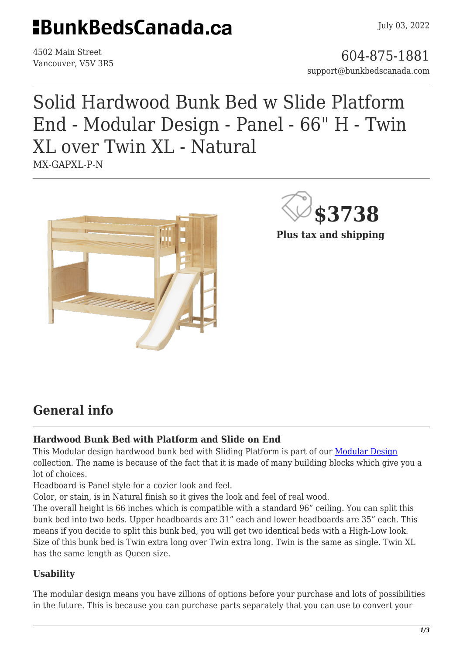## **HBunkBedsCanada.ca**

4502 Main Street

4502 Main Street<br>Vancouver, V5V 3R5 support@bunkbedscanada.com

## Solid Hardwood Bunk Bed w Slide Platform End - Modular Design - Panel - 66" H - Twin XL over Twin XL - Natural MX-GAPXL-P-N





**Plus tax and shipping**

### **General info**

#### **Hardwood Bunk Bed with Platform and Slide on End**

This Modular design hardwood bunk bed with Sliding Platform is part of our [Modular Design](https://bunkbedscanada.com/about-modular-collection) collection. The name is because of the fact that it is made of many building blocks which give you a lot of choices.

Headboard is Panel style for a cozier look and feel.

Color, or stain, is in Natural finish so it gives the look and feel of real wood.

The overall height is 66 inches which is compatible with a standard 96" ceiling. You can split this bunk bed into two beds. Upper headboards are 31" each and lower headboards are 35" each. This means if you decide to split this bunk bed, you will get two identical beds with a High-Low look. Size of this bunk bed is Twin extra long over Twin extra long. Twin is the same as single. Twin XL has the same length as Queen size.

#### **Usability**

The modular design means you have zillions of options before your purchase and lots of possibilities in the future. This is because you can purchase parts separately that you can use to convert your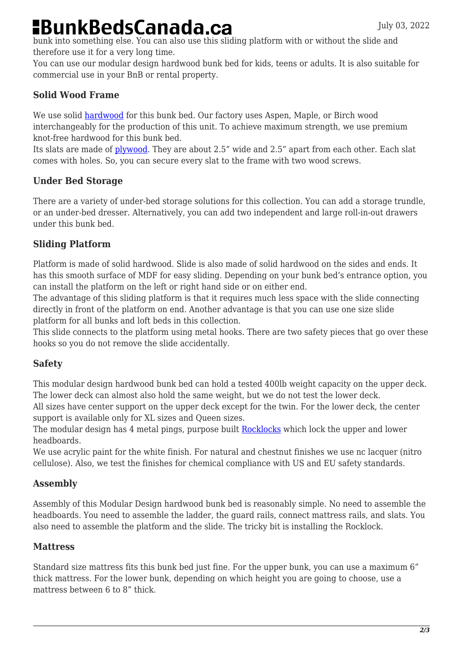# **BunkBedsCanada.ca**

bunk into something else. You can also use this sliding platform with or without the slide and therefore use it for a very long time.

You can use our modular design hardwood bunk bed for kids, teens or adults. It is also suitable for commercial use in your BnB or rental property.

#### **Solid Wood Frame**

We use solid [hardwood](https://en.wikipedia.org/wiki/Hardwood) for this bunk bed. Our factory uses Aspen, Maple, or Birch wood interchangeably for the production of this unit. To achieve maximum strength, we use premium knot-free hardwood for this bunk bed.

Its slats are made of [plywood.](https://en.wikipedia.org/wiki/Plywood) They are about 2.5" wide and 2.5" apart from each other. Each slat comes with holes. So, you can secure every slat to the frame with two wood screws.

#### **Under Bed Storage**

There are a variety of under-bed storage solutions for this collection. You can add a storage trundle, or an under-bed dresser. Alternatively, you can add two independent and large roll-in-out drawers under this bunk bed.

#### **Sliding Platform**

Platform is made of solid hardwood. Slide is also made of solid hardwood on the sides and ends. It has this smooth surface of MDF for easy sliding. Depending on your bunk bed's entrance option, you can install the platform on the left or right hand side or on either end.

The advantage of this sliding platform is that it requires much less space with the slide connecting directly in front of the platform on end. Another advantage is that you can use one size slide platform for all bunks and loft beds in this collection.

This slide connects to the platform using metal hooks. There are two safety pieces that go over these hooks so you do not remove the slide accidentally.

#### **Safety**

This modular design hardwood bunk bed can hold a tested 400lb weight capacity on the upper deck. The lower deck can almost also hold the same weight, but we do not test the lower deck.

All sizes have center support on the upper deck except for the twin. For the lower deck, the center support is available only for XL sizes and Queen sizes.

The modular design has 4 metal pings, purpose built [Rocklocks](https://bunkbedscanada.com/rock-locks-set-of-4.html) which lock the upper and lower headboards.

We use acrylic paint for the white finish. For natural and chestnut finishes we use nc lacquer (nitro cellulose). Also, we test the finishes for chemical compliance with US and EU safety standards.

#### **Assembly**

Assembly of this Modular Design hardwood bunk bed is reasonably simple. No need to assemble the headboards. You need to assemble the ladder, the guard rails, connect mattress rails, and slats. You also need to assemble the platform and the slide. The tricky bit is installing the Rocklock.

#### **Mattress**

Standard size mattress fits this bunk bed just fine. For the upper bunk, you can use a maximum 6" thick mattress. For the lower bunk, depending on which height you are going to choose, use a mattress between 6 to 8" thick